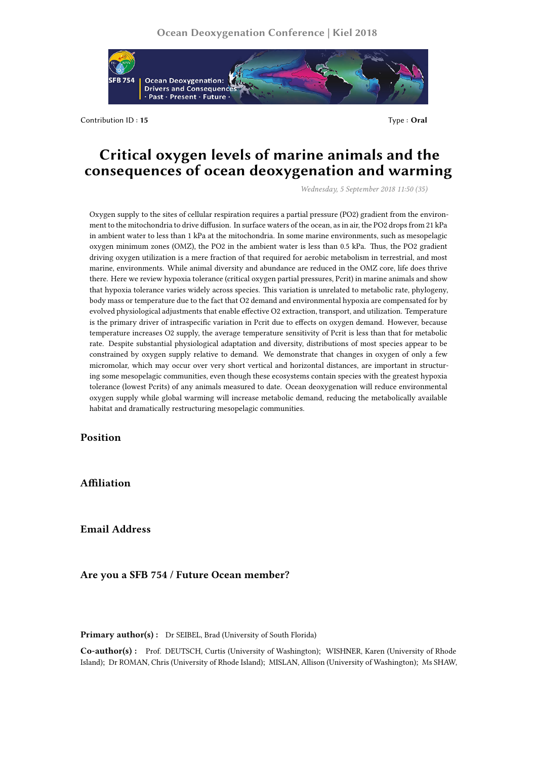

Contribution ID: 15 Type : **Oral** 

## **Critical oxygen levels of marine animals and the consequences of ocean deoxygenation and warming**

*Wednesday, 5 September 2018 11:50 (35)*

Oxygen supply to the sites of cellular respiration requires a partial pressure (PO2) gradient from the environment to the mitochondria to drive diffusion. In surface waters of the ocean, as in air, the PO2 drops from 21 kPa in ambient water to less than 1 kPa at the mitochondria. In some marine environments, such as mesopelagic oxygen minimum zones (OMZ), the PO2 in the ambient water is less than 0.5 kPa. Thus, the PO2 gradient driving oxygen utilization is a mere fraction of that required for aerobic metabolism in terrestrial, and most marine, environments. While animal diversity and abundance are reduced in the OMZ core, life does thrive there. Here we review hypoxia tolerance (critical oxygen partial pressures, Pcrit) in marine animals and show that hypoxia tolerance varies widely across species. This variation is unrelated to metabolic rate, phylogeny, body mass or temperature due to the fact that O2 demand and environmental hypoxia are compensated for by evolved physiological adjustments that enable effective O2 extraction, transport, and utilization. Temperature is the primary driver of intraspecific variation in Pcrit due to effects on oxygen demand. However, because temperature increases O2 supply, the average temperature sensitivity of Pcrit is less than that for metabolic rate. Despite substantial physiological adaptation and diversity, distributions of most species appear to be constrained by oxygen supply relative to demand. We demonstrate that changes in oxygen of only a few micromolar, which may occur over very short vertical and horizontal distances, are important in structuring some mesopelagic communities, even though these ecosystems contain species with the greatest hypoxia tolerance (lowest Pcrits) of any animals measured to date. Ocean deoxygenation will reduce environmental oxygen supply while global warming will increase metabolic demand, reducing the metabolically available habitat and dramatically restructuring mesopelagic communities.

## **Position**

**Affiliation**

**Email Address**

## **Are you a SFB 754 / Future Ocean member?**

Primary author(s): Dr SEIBEL, Brad (University of South Florida)

**Co-author(s) :** Prof. DEUTSCH, Curtis (University of Washington); WISHNER, Karen (University of Rhode Island); Dr ROMAN, Chris (University of Rhode Island); MISLAN, Allison (University of Washington); Ms SHAW,